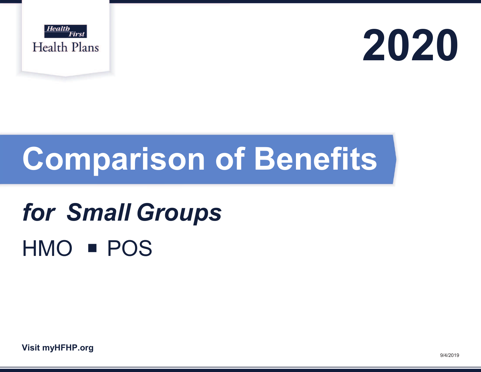



# **Comparison of Benefits**

# **for Small Groups** HMO **POS**

**Visit myHFHP.org**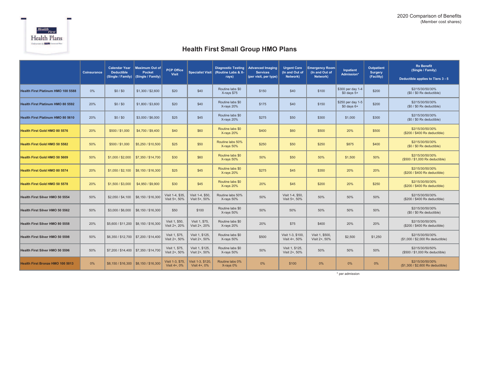

## **Health First Small Group HMO Plans**

|                                          | <b>Coinsurance</b> | <b>Calendar Year</b><br><b>Deductible</b><br>(Single / Family) | <b>Maximum Out of</b><br><b>Pocket</b><br>(Single / Family) | <b>PCP Office</b><br><b>Visit</b> |                                   | <b>Diagnostic Testing</b><br>Specialist Visit (Routine Labs & X-<br>rays) | <b>Advanced Imaging</b><br><b>Services</b><br>(per visit, per type) | <b>Urgent Care</b><br>(In and Out of<br>Network) | <b>Emergency Room</b><br>(In and Out of<br>Network) |                                     | <b>Outpatient</b><br><b>Surgery</b><br>(Facility) | <b>Rx Benefit</b><br>(Single / Family)<br>Deductible applies to Tiers 3 - 5 |  |
|------------------------------------------|--------------------|----------------------------------------------------------------|-------------------------------------------------------------|-----------------------------------|-----------------------------------|---------------------------------------------------------------------------|---------------------------------------------------------------------|--------------------------------------------------|-----------------------------------------------------|-------------------------------------|---------------------------------------------------|-----------------------------------------------------------------------------|--|
| Health First Platinum HMO 100 5588       | 0%                 | \$0/\$0                                                        | \$1,300 / \$2,600                                           | \$20                              | \$40                              | Routine labs \$0<br>X-rays \$75                                           | \$150                                                               | \$40                                             | \$100                                               | \$300 per day 1-4<br>$$0$ days $5+$ | \$200                                             | \$2/15/30/50/30%<br>$($0 / $0$ Rx deductible)                               |  |
| <b>Health First Platinum HMO 80 5592</b> | 20%                | \$0/\$0                                                        | \$1,800 / \$3,600                                           | \$20                              | \$40                              | Routine labs \$0<br>X-rays 20%                                            | \$175                                                               | \$40                                             | \$150                                               | \$250 per day 1-5<br>$$0$ days $6+$ | \$200                                             | \$2/15/30/50/30%<br>$($0 / $0$ Rx deductible)                               |  |
| <b>Health First Platinum HMO 80 5610</b> | 20%                | \$0/\$0                                                        | \$3,000 / \$6,000                                           | \$25                              | \$45                              | Routine labs \$0<br>X-rays 20%                                            | \$275                                                               | \$50                                             | \$300                                               | \$1,000                             | \$300                                             | \$2/15/30/50/30%<br>$($0 / $0$ Rx deductible)                               |  |
| <b>Health First Gold HMO 80 5576</b>     | 20%                | \$500 / \$1,000                                                | \$4,700 / \$9,400                                           | \$40                              | \$60                              | Routine labs \$0<br>X-rays 20%                                            | \$400                                                               | \$60                                             | \$500                                               | 20%                                 | \$500                                             | \$2/15/30/50/30%<br>(\$200 / \$400 Rx deductible)                           |  |
| <b>Health First Gold HMO 50 5582</b>     | 50%                | \$500 / \$1,000                                                | \$5,250 / \$10,500                                          | \$25                              | \$50                              | Routine labs 50%<br>X-rays 50%                                            | \$250                                                               | \$50                                             | \$250                                               | \$875<br>\$400                      |                                                   | \$2/15/30/50/30%<br>$(50/50$ Rx deductible)                                 |  |
| <b>Health First Gold HMO 50 5609</b>     | 50%                | \$1,000 / \$2,000                                              | \$7,350 / \$14,700                                          | \$30                              | \$60                              | Routine labs \$0<br>X-rays 50%                                            | 50%                                                                 | \$50                                             | 50%                                                 | \$1,500                             | 50%                                               | \$2/15/30/50/30%<br>(\$500 / \$1,000 Rx deductible)                         |  |
| <b>Health First Gold HMO 80 5574</b>     | 20%                | \$1,050 / \$2,100                                              | \$8,150 / \$16,300                                          | \$25                              | \$45                              | Routine labs \$0<br>X-rays 20%                                            | \$275                                                               | \$45                                             | \$350                                               | 20%                                 | 20%                                               | \$2/15/30/50/30%<br>(\$200 / \$400 Rx deductible)                           |  |
| <b>Health First Gold HMO 50 5578</b>     | 20%                | \$1,500 / \$3,000                                              | \$4,950 / \$9,900                                           | \$30                              | \$45                              | Routine labs \$0<br>X-rays 20%                                            | 20%                                                                 | \$45                                             | \$200                                               | 20%                                 | \$250                                             | \$2/15/30/50/30%<br>(\$200 / \$400 Rx deductible)                           |  |
| Health First Silver HMO 50 5554          | 50%                | \$2,050 / \$4,100                                              | \$8,150 / \$16,300                                          | Visit 1-4, \$35.<br>Visit 5+, 50% | Visit 1-4, \$50.<br>Visit 5+, 50% | Routine labs 50%<br>X-rays 50%                                            | 50%                                                                 | Visit 1-4, \$50.<br>Visit 5+, 50%                | 50%                                                 | 50%                                 | 50%                                               | \$2/15/30/50/30%<br>(\$200 / \$400 Rx deductible)                           |  |
| Health First Silver HMO 50 5562          | 50%                | \$3,000 / \$6,000                                              | \$8,150 / \$16,300                                          | \$50                              | \$100                             | Routine labs \$0<br>X-rays 50%                                            | 50%                                                                 | 50%                                              | 50%                                                 | 50%<br>50%                          |                                                   | \$2/15/30/50/30%<br>$($0 / $0$ Rx deductible)                               |  |
| Health First Silver HMO 80 5558          | 20%                | \$5,600 / \$11,200 \$8,150 / \$16,300                          |                                                             | Visit 1, \$50.<br>Visit 2+, 20%   | Visit 1, \$75,<br>Visit 2+, 20%   | Routine labs \$0<br>X-rays 20%                                            | 20%                                                                 | \$75                                             | \$400                                               | 20%                                 | 20%                                               | \$2/15/30/50/30%<br>(\$200 / \$400 Rx deductible)                           |  |
| Health First Silver HMO 50 5598          | 50%                |                                                                | \$6,350 / \$12,700 \$7,200 / \$14,400                       | Visit 1, \$75,<br>Visit 2+, 50%   | Visit 1, \$125.<br>Visit 2+, 50%  | Routine labs \$0<br>X-rays 50%                                            | \$500                                                               | Visit 1-3, \$100,<br>Visit 4+, 50%               | Visit 1, \$500,<br>Visit 2+, 50%                    | \$2,500                             | \$1,250                                           | \$2/15/30/50/30%<br>(\$1,000 / \$2,000 Rx deductible)                       |  |
| Health First Silver HMO 50 5596          | 50%                |                                                                | \$7,200 / \$14,400 \$7,350 / \$14,700                       | Visit 1, \$75,<br>Visit 2+, 50%   | Visit 1, \$125.<br>Visit 2+, 50%  | Routine labs \$0<br>X-rays 50%                                            | 50%                                                                 | Visit 1, \$125,<br>Visit 2+, 50%                 | 50%                                                 | 50%                                 | 50%                                               | \$2/15/30/50/50%<br>(\$500 / \$1,000 Rx deductible)                         |  |
| <b>Health First Bronze HMO 100 5013</b>  | 0%                 |                                                                | \$8,150 / \$16,300 \$8,150 / \$16,300                       | Visit 1-3, \$75.<br>Visit 4+, 0%  | Visit 1-3, \$120<br>Visit 4+, 0%  | Routine labs 0%<br>X-rays 0%                                              | 0%                                                                  | \$100                                            | 0%                                                  | 0%                                  | 0%                                                | \$2/15/30/50/30%<br>(\$1,300 / \$2,600 Rx deductible)                       |  |

\* per admission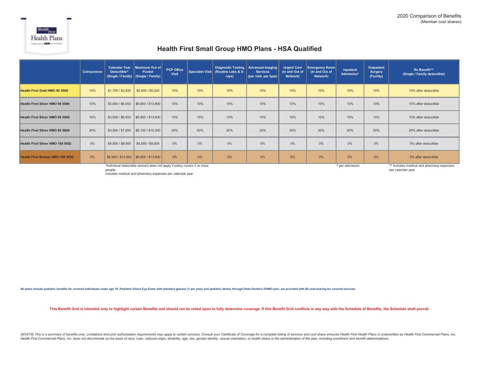

### **Health First Small Group HMO Plans - HSA Qualified**

|                                                                                                        | <b>Coinsurance</b> | Deductible <sup>^</sup> | Calendar Year   Maximum Out of<br>Pocket<br>(Single / Family) (Single / Family) | <b>PCP Office</b><br>Visit | Specialist Visit | (Routine Labs & X-<br>rays) | Diagnostic Testing   Advanced Imaging<br><b>Services</b><br>(per visit, per type) | <b>Urgent Care</b><br>(In and Out of<br>Network) | <b>Emergency Room</b><br>(In and Out of<br>Network) | Inpatient<br>Admission* | Outpatient<br><b>Surgery</b><br>(Facility) | Rx Benefit <sup>^^</sup><br>(Single / Family deductible) |
|--------------------------------------------------------------------------------------------------------|--------------------|-------------------------|---------------------------------------------------------------------------------|----------------------------|------------------|-----------------------------|-----------------------------------------------------------------------------------|--------------------------------------------------|-----------------------------------------------------|-------------------------|--------------------------------------------|----------------------------------------------------------|
| <b>Health First Gold HMO 90 5586</b>                                                                   | 10%                | \$1,750 / \$3,500       | \$2,600 / \$5,200                                                               | 10%                        | 10%              | 10%                         | 10%                                                                               | 10%                                              | 10%                                                 | 10%                     | 10%                                        | 10% after deductible                                     |
| Health First Silver HMO 90 5566                                                                        | 10%                |                         | $$3,000 / $6,000$ \$6,900 / \$13,800                                            | 10%                        | 10%              | 10%                         | 10%                                                                               | 10%                                              | 10%                                                 | 10%                     | 10%                                        | 10% after deductible                                     |
| Health First Silver HMO 90 5568                                                                        | 10%                | \$3,000 / \$6,000       | $\parallel$ \$6,800 / \$13,600                                                  | 10%                        | 10%              | 10%                         | 10%                                                                               | 10%                                              | 10%                                                 | 10%                     | 10%                                        | 10% after deductible                                     |
| Health First Silver HMO 80 5600                                                                        | 20%                | \$3,500 / \$7,000       | $\parallel$ \$5,150 / \$10,300                                                  | 20%                        | 20%              | 20%                         | 20%                                                                               | 20%                                              | 20%                                                 | 20%                     | 20%                                        | 20% after deductible                                     |
| Health First Silver HMO 100 5602                                                                       | 0%                 | \$4,500 / \$9,000       | \$4,500 / \$9,000                                                               | 0%                         | 0%               | 0%                          | 0%                                                                                | 0%                                               | 0%                                                  | 0%                      | 0%                                         | 0% after deductible                                      |
| Health First Bronze HMO 100 5550                                                                       | 0%                 |                         | \$6,900 / \$13,800 \$6,900 / \$13,800                                           | 0%                         | 0%               | 0%                          | 0%                                                                                | 0%                                               | 0%                                                  | 0%                      | 0%                                         | 0% after deductible                                      |
| <sup>A</sup> Individual deductible amount does not apply if policy covers 2 or more<br>^ per admission |                    |                         |                                                                                 |                            |                  |                             |                                                                                   |                                                  |                                                     |                         |                                            | <sup>M</sup> Includes medical and pharmacy expenses      |

people.

^ per admission

^^ Includes medical and pharmacy expenses per calendar year

Includes medical and pharmacy expenses per calendar year

All plans include pediatric benefits for covered individuals under age 19. Pediatric Vision Eye Exam with standard glasses (1 per year) and pediatric dental, through Delta Dental's DHMO plan, are provided with \$0 cost-shar

This Benefit Grid is intended only to highlight certain Benefits and should not be relied upon to fully determine coverage. If this Benefit Grid conflicts in any way with the Schedule of Benefits, the Schedule shall prevai

(9/24/19) This is a summary of benefits only. Limitations and prior authorization requirements may apply to certain services. Consult your Certificate of Coverage for a complete listing of services and cost share amounts. Health First Commercial Plans, Inc. does not discriminate on the basis of race, color, national origin, disability, age, sex, gender identity, sexual orientation, or health status in the administration of the plan, includi